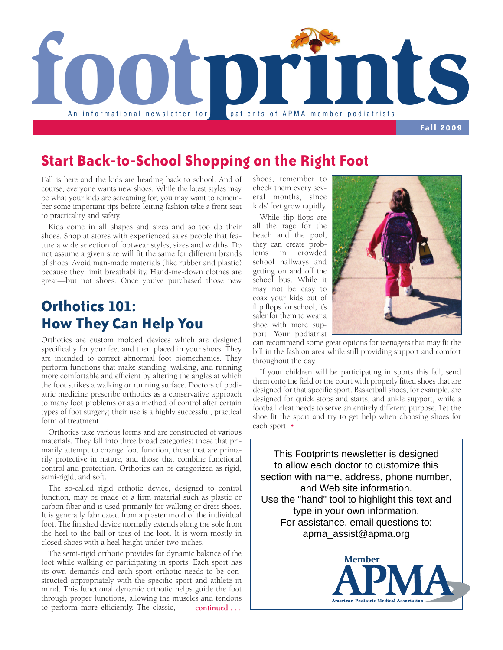

**Fall 2009**

#### **Start Back-to-School Shopping on the Right Foot**

Fall is here and the kids are heading back to school. And of course, everyone wants new shoes. While the latest styles may be what your kids are screaming for, you may want to remember some important tips before letting fashion take a front seat to practicality and safety.

Kids come in all shapes and sizes and so too do their shoes. Shop at stores with experienced sales people that feature a wide selection of footwear styles, sizes and widths. Do not assume a given size will fit the same for different brands of shoes. Avoid man-made materials (like rubber and plastic) because they limit breathability. Hand-me-down clothes are great—but not shoes. Once you've purchased those new

## **Orthotics 101: How They Can Help You**

Orthotics are custom molded devices which are designed specifically for your feet and then placed in your shoes. They are intended to correct abnormal foot biomechanics. They perform functions that make standing, walking, and running more comfortable and efficient by altering the angles at which the foot strikes a walking or running surface. Doctors of podiatric medicine prescribe orthotics as a conservative approach to many foot problems or as a method of control after certain types of foot surgery; their use is a highly successful, practical form of treatment.

Orthotics take various forms and are constructed of various materials. They fall into three broad categories: those that primarily attempt to change foot function, those that are primarily protective in nature, and those that combine functional control and protection. Orthotics can be categorized as rigid, semi-rigid, and soft.

The so-called rigid orthotic device, designed to control function, may be made of a firm material such as plastic or carbon fiber and is used primarily for walking or dress shoes. It is generally fabricated from a plaster mold of the individual foot. The finished device normally extends along the sole from the heel to the ball or toes of the foot. It is worn mostly in closed shoes with a heel height under two inches.

The semi-rigid orthotic provides for dynamic balance of the foot while walking or participating in sports. Each sport has its own demands and each sport orthotic needs to be constructed appropriately with the specific sport and athlete in mind. This functional dynamic orthotic helps guide the foot through proper functions, allowing the muscles and tendons to perform more efficiently. The classic, **continued . . .**

shoes, remember to check them every several months, since kids' feet grow rapidly.

While flip flops are all the rage for the beach and the pool, they can create problems in crowded school hallways and getting on and off the school bus. While it may not be easy to coax your kids out of flip flops for school, it's safer for them to wear a shoe with more support. Your podiatrist



can recommend some great options for teenagers that may fit the bill in the fashion area while still providing support and comfort throughout the day.

If your children will be participating in sports this fall, send them onto the field or the court with properly fitted shoes that are designed for that specific sport. Basketball shoes, for example, are designed for quick stops and starts, and ankle support, while a football cleat needs to serve an entirely different purpose. Let the shoe fit the sport and try to get help when choosing shoes for each sport. •

This Footprints newsletter is designed to allow each doctor to customize this section with name, address, phone number, and Web site information. Use the "hand" tool to highlight this text and type in your own information. For assistance, email questions to: apma\_assist@apma.org